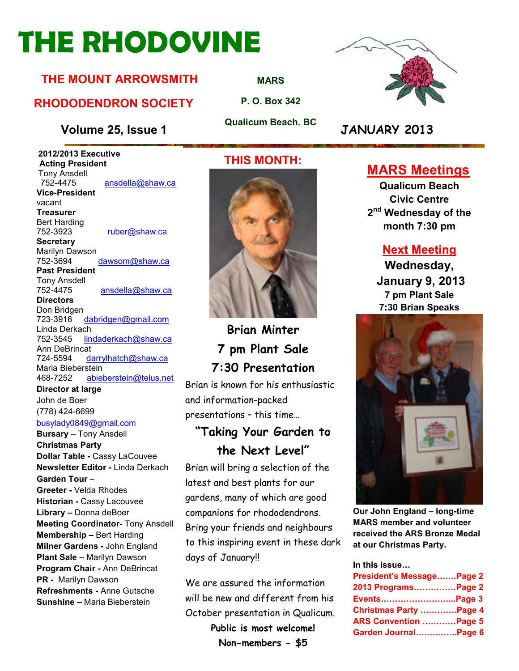# **THE RHODOVINE**

#### **THE MOUNT ARROWSMITH**

#### **RHODODENDRON SOCIETY**

#### **Volume 25, Issue 1 JANUARY 2013**

 **2012/2013 Executive Acting President Tony Ansdell**<br>752-4475 ansdella@shaw.ca **Vice-President**  vacant **Treasurer**  Bert Harding<br>752-3923 ruber@shaw.ca **Secretary**

Marilyn Dawson 752-3694 dawsom@shaw.ca **Past President** 

Tony Ansdell ansdella@shaw.ca

**Directors** 

Don Bridgen<br>723-3916 dabridgen@gmail.com Linda Derkach 752-3545 lindaderkach@shaw.ca Ann DeBrincat 724-5594 darrylhatch@shaw.ca Maria Bieberstein 468-7252 abieberstein@telus.net

**Director at large**  John de Boer (778) 424-6699

#### busylady0849@gmail.com

**Bursary** – Tony Ansdell **Christmas Party Dollar Table -** Cassy LaCouvee **Newsletter Editor -** Linda Derkach **Garden Tour** – **Greeter -** Velda Rhodes **Historian -** Cassy Lacouvee **Library –** Donna deBoer **Meeting Coordinator**- Tony Ansdell **Membership –** Bert Harding **Milner Gardens -** John England **Plant Sale –** Marilyn Dawson **Program Chair -** Ann DeBrincat **PR -** Marilyn Dawson **Refreshments -** Anne Gutsche **Sunshine –** Maria Bieberstein

#### **THIS MONTH:**

**MARS**

**P. O. Box 342** 

**Qualicum Beach. BC** 



**Brian Minter 7 pm Plant Sale 7:30 Presentation** 

Brian is known for his enthusiastic and information-packed presentations – this time…

#### **"Taking Your Garden to the Next Level"**

Brian will bring a selection of the latest and best plants for our gardens, many of which are good companions for rhododendrons. Bring your friends and neighbours to this inspiring event in these dark days of January!!

We are assured the information will be new and different from his October presentation in Qualicum. **Public is most welcome! Non-members - \$5**



#### **MARS Meetings**

**Qualicum Beach Civic Centre 2 nd Wednesday of the month 7:30 pm** 

#### **Next Meeting**

**Wednesday, January 9, 2013 7 pm Plant Sale 7:30 Brian Speaks** 



**Our John England – long-time MARS member and volunteer received the ARS Bronze Medal at our Christmas Party.** 

#### In this issue...

| President's MessagePage 2 |  |
|---------------------------|--|
| 2013 ProgramsPage 2       |  |
| EventsPage 3              |  |
| Christmas Party Page 4    |  |
| ARS Convention Page 5     |  |
| Garden JournalPage 6      |  |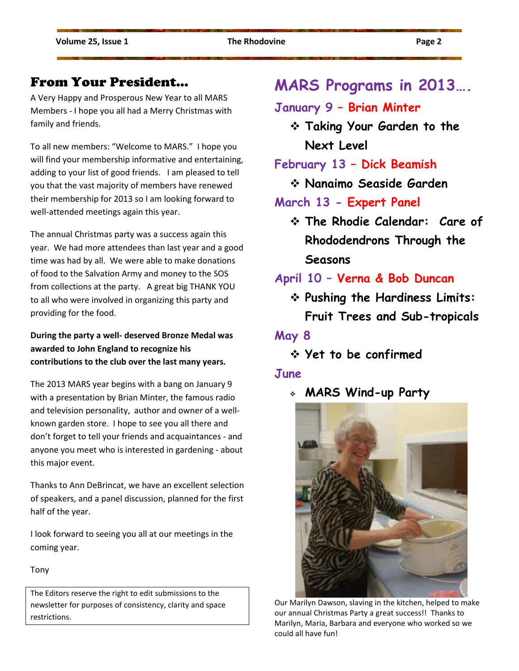#### From Your President…

A Very Happy and Prosperous New Year to all MARS Members - I hope you all had a Merry Christmas with family and friends.

To all new members: "Welcome to MARS." I hope you will find your membership informative and entertaining, adding to your list of good friends. I am pleased to tell you that the vast majority of members have renewed their membership for 2013 so I am looking forward to well-attended meetings again this year.

The annual Christmas party was a success again this year. We had more attendees than last year and a good time was had by all. We were able to make donations of food to the Salvation Army and money to the SOS from collections at the party. A great big THANK YOU to all who were involved in organizing this party and providing for the food.

**During the party a well- deserved Bronze Medal was awarded to John England to recognize his contributions to the club over the last many years.**

The 2013 MARS year begins with a bang on January 9 with a presentation by Brian Minter, the famous radio and television personality, author and owner of a wellknown garden store. I hope to see you all there and don't forget to tell your friends and acquaintances - and anyone you meet who is interested in gardening - about this major event.

Thanks to Ann DeBrincat, we have an excellent selection of speakers, and a panel discussion, planned for the first half of the year.

I look forward to seeing you all at our meetings in the coming year.

Tony

The Editors reserve the right to edit submissions to the newsletter for purposes of consistency, clarity and space restrictions.

#### **MARS Programs in 2013….**

#### **January 9 – Brian Minter**

 **Taking Your Garden to the Next Level** 

**February 13 – Dick Beamish** 

**Nanaimo Seaside Garden** 

#### **March 13 - Expert Panel**

 **The Rhodie Calendar: Care of Rhododendrons Through the Seasons** 

#### **April 10 – Verna & Bob Duncan**

 **Pushing the Hardiness Limits: Fruit Trees and Sub-tropicals** 

#### **May 8**

**Yet to be confirmed** 

#### **June**

**MARS Wind-up Party**



Our Marilyn Dawson, slaving in the kitchen, helped to make our annual Christmas Party a great success!! Thanks to Marilyn, Maria, Barbara and everyone who worked so we could all have fun!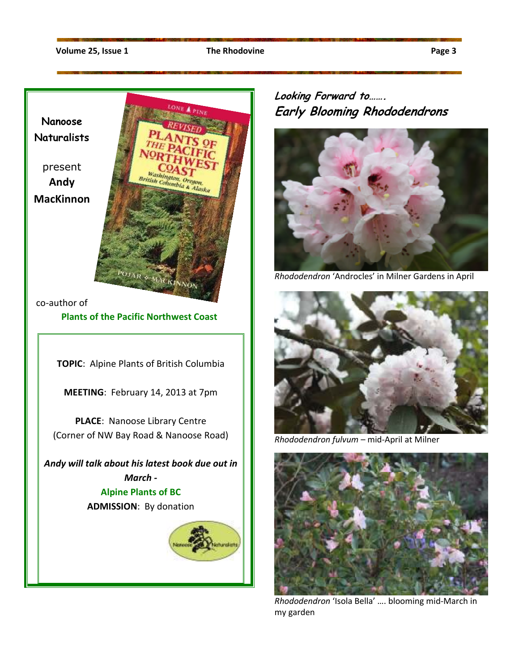**Nanoose Naturalists** 

present **Andy MacKinnon** 



co-author of

**Plants of the Pacific Northwest Coast**

**TOPIC**: Alpine Plants of British Columbia

**MEETING**: February 14, 2013 at 7pm

**PLACE**: Nanoose Library Centre (Corner of NW Bay Road & Nanoose Road)

*Andy will talk about his latest book due out in March -*  **Alpine Plants of BC ADMISSION**: By donation



#### **Looking Forward to……. Early Blooming Rhododendrons**



*Rhododendron* 'Androcles' in Milner Gardens in April



*Rhododendron fulvum* – mid-April at Milner



*Rhododendron* 'Isola Bella' …. blooming mid-March in my garden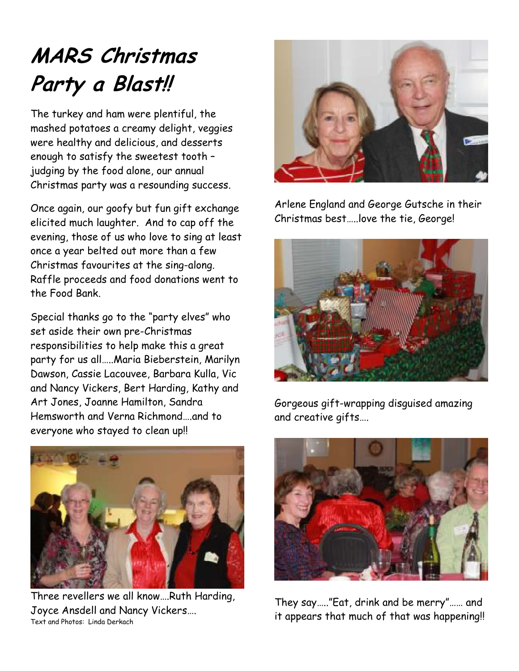# **MARS Christmas Party a Blast!!**

The turkey and ham were plentiful, the mashed potatoes a creamy delight, veggies were healthy and delicious, and desserts enough to satisfy the sweetest tooth – judging by the food alone, our annual Christmas party was a resounding success.

Once again, our goofy but fun gift exchange elicited much laughter. And to cap off the evening, those of us who love to sing at least once a year belted out more than a few Christmas favourites at the sing-along. Raffle proceeds and food donations went to the Food Bank.

Special thanks go to the "party elves" who set aside their own pre-Christmas responsibilities to help make this a great party for us all…..Maria Bieberstein, Marilyn Dawson, Cassie Lacouvee, Barbara Kulla, Vic and Nancy Vickers, Bert Harding, Kathy and Art Jones, Joanne Hamilton, Sandra Hemsworth and Verna Richmond….and to everyone who stayed to clean up!!



Three revellers we all know….Ruth Harding, Joyce Ansdell and Nancy Vickers…. Text and Photos: Linda Derkach



Arlene England and George Gutsche in their Christmas best…..love the tie, George!



Gorgeous gift-wrapping disguised amazing and creative gifts….



They say….."Eat, drink and be merry"…… and it appears that much of that was happening!!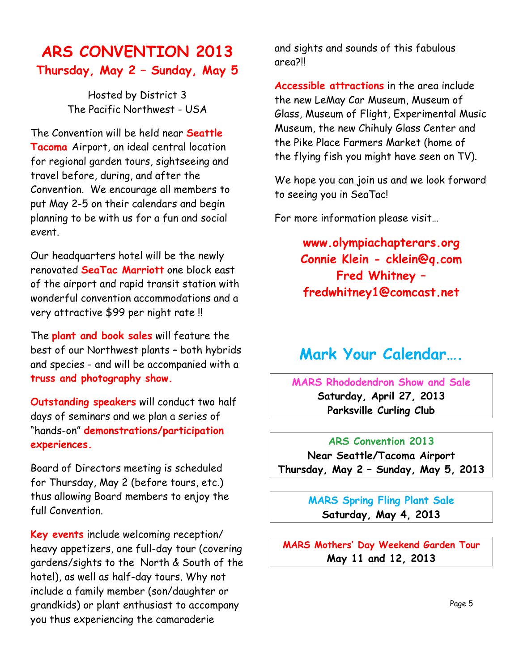#### **ARS CONVENTION 2013 Thursday, May 2 – Sunday, May 5**

Hosted by District 3 The Pacific Northwest - USA

The Convention will be held near **Seattle Tacoma** Airport, an ideal central location for regional garden tours, sightseeing and travel before, during, and after the Convention. We encourage all members to put May 2-5 on their calendars and begin planning to be with us for a fun and social event.

Our headquarters hotel will be the newly renovated **SeaTac Marriott** one block east of the airport and rapid transit station with wonderful convention accommodations and a very attractive \$99 per night rate !!

The **plant and book sales** will feature the best of our Northwest plants – both hybrids and species - and will be accompanied with a **truss and photography show.** 

**Outstanding speakers** will conduct two half days of seminars and we plan a series of "hands-on" **demonstrations/participation experiences.** 

Board of Directors meeting is scheduled for Thursday, May 2 (before tours, etc.) thus allowing Board members to enjoy the full Convention.

**Key events** include welcoming reception/ heavy appetizers, one full-day tour (covering gardens/sights to the North & South of the hotel), as well as half-day tours. Why not include a family member (son/daughter or grandkids) or plant enthusiast to accompany you thus experiencing the camaraderie

and sights and sounds of this fabulous area?!!

**Accessible attractions** in the area include the new LeMay Car Museum, Museum of Glass, Museum of Flight, Experimental Music Museum, the new Chihuly Glass Center and the Pike Place Farmers Market (home of the flying fish you might have seen on TV).

We hope you can join us and we look forward to seeing you in SeaTac!

For more information please visit…

**www.olympiachapterars.org Connie Klein - cklein@q.com Fred Whitney – fredwhitney1@comcast.net** 

### **Mark Your Calendar….**

**MARS Rhododendron Show and Sale Saturday, April 27, 2013 Parksville Curling Club** 

**ARS Convention 2013 Near Seattle/Tacoma Airport Thursday, May 2 – Sunday, May 5, 2013** 

> **MARS Spring Fling Plant Sale Saturday, May 4, 2013**

**MARS Mothers' Day Weekend Garden Tour May 11 and 12, 2013**